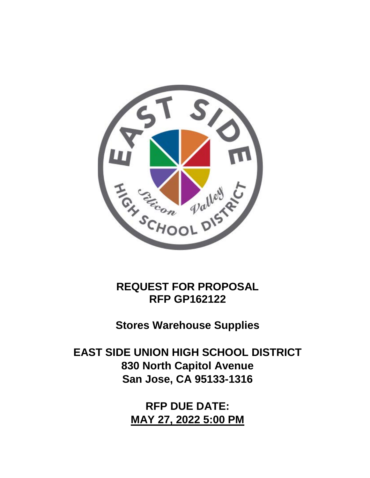

**REQUEST FOR PROPOSAL RFP GP162122**

**Stores Warehouse Supplies**

**EAST SIDE UNION HIGH SCHOOL DISTRICT 830 North Capitol Avenue San Jose, CA 95133-1316**

> **RFP DUE DATE: MAY 27, 2022 5:00 PM**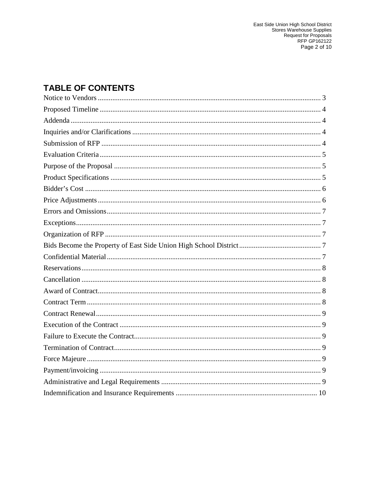# **TABLE OF CONTENTS**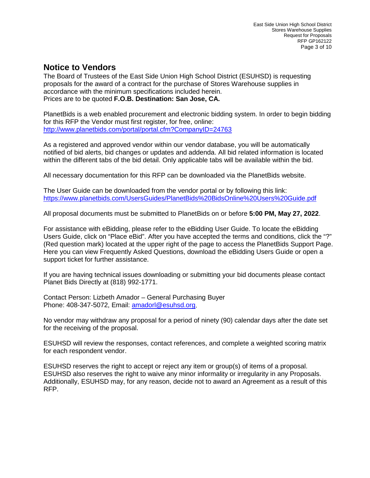#### <span id="page-2-0"></span>**Notice to Vendors**

The Board of Trustees of the East Side Union High School District (ESUHSD) is requesting proposals for the award of a contract for the purchase of Stores Warehouse supplies in accordance with the minimum specifications included herein. Prices are to be quoted **F.O.B. Destination: San Jose, CA.**

PlanetBids is a web enabled procurement and electronic bidding system. In order to begin bidding for this RFP the Vendor must first register, for free, online: <http://www.planetbids.com/portal/portal.cfm?CompanyID=24763>

As a registered and approved vendor within our vendor database, you will be automatically notified of bid alerts, bid changes or updates and addenda. All bid related information is located within the different tabs of the bid detail. Only applicable tabs will be available within the bid.

All necessary documentation for this RFP can be downloaded via the PlanetBids website.

The User Guide can be downloaded from the vendor portal or by following this link: <https://www.planetbids.com/UsersGuides/PlanetBids%20BidsOnline%20Users%20Guide.pdf>

All proposal documents must be submitted to PlanetBids on or before **5:00 PM, May 27, 2022**.

For assistance with eBidding, please refer to the eBidding User Guide. To locate the eBidding Users Guide, click on "Place eBid". After you have accepted the terms and conditions, click the "?" (Red question mark) located at the upper right of the page to access the PlanetBids Support Page. Here you can view Frequently Asked Questions, download the eBidding Users Guide or open a support ticket for further assistance.

If you are having technical issues downloading or submitting your bid documents please contact Planet Bids Directly at (818) 992-1771.

Contact Person: Lizbeth Amador – General Purchasing Buyer Phone: 408-347-5072, Email: [amadorl@esuhsd.org.](mailto:amadorl@esuhsd.org)

No vendor may withdraw any proposal for a period of ninety (90) calendar days after the date set for the receiving of the proposal.

ESUHSD will review the responses, contact references, and complete a weighted scoring matrix for each respondent vendor.

ESUHSD reserves the right to accept or reject any item or group(s) of items of a proposal. ESUHSD also reserves the right to waive any minor informality or irregularity in any Proposals. Additionally, ESUHSD may, for any reason, decide not to award an Agreement as a result of this RFP.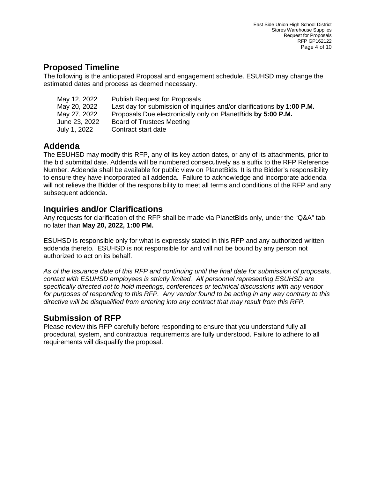#### <span id="page-3-0"></span>**Proposed Timeline**

The following is the anticipated Proposal and engagement schedule. ESUHSD may change the estimated dates and process as deemed necessary.

| <b>Publish Request for Proposals</b>                                    |
|-------------------------------------------------------------------------|
| Last day for submission of inquiries and/or clarifications by 1:00 P.M. |
| Proposals Due electronically only on PlanetBids by 5:00 P.M.            |
| Board of Trustees Meeting                                               |
| Contract start date                                                     |
|                                                                         |

# <span id="page-3-1"></span>**Addenda**

The ESUHSD may modify this RFP, any of its key action dates, or any of its attachments, prior to the bid submittal date. Addenda will be numbered consecutively as a suffix to the RFP Reference Number. Addenda shall be available for public view on PlanetBids. It is the Bidder's responsibility to ensure they have incorporated all addenda. Failure to acknowledge and incorporate addenda will not relieve the Bidder of the responsibility to meet all terms and conditions of the RFP and any subsequent addenda.

#### <span id="page-3-2"></span>**Inquiries and/or Clarifications**

Any requests for clarification of the RFP shall be made via PlanetBids only, under the "Q&A" tab, no later than **May 20, 2022, 1:00 PM.**

ESUHSD is responsible only for what is expressly stated in this RFP and any authorized written addenda thereto. ESUHSD is not responsible for and will not be bound by any person not authorized to act on its behalf.

*As of the Issuance date of this RFP and continuing until the final date for submission of proposals, contact with ESUHSD employees is strictly limited. All personnel representing ESUHSD are specifically directed not to hold meetings, conferences or technical discussions with any vendor for purposes of responding to this RFP. Any vendor found to be acting in any way contrary to this directive will be disqualified from entering into any contract that may result from this RFP.*

## <span id="page-3-3"></span>**Submission of RFP**

Please review this RFP carefully before responding to ensure that you understand fully all procedural, system, and contractual requirements are fully understood. Failure to adhere to all requirements will disqualify the proposal.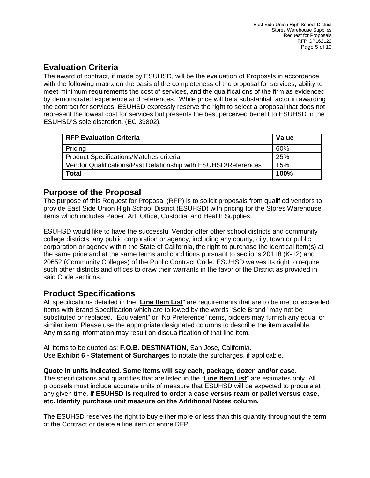# <span id="page-4-0"></span>**Evaluation Criteria**

The award of contract, if made by ESUHSD, will be the evaluation of Proposals in accordance with the following matrix on the basis of the completeness of the proposal for services, ability to meet minimum requirements the cost of services, and the qualifications of the firm as evidenced by demonstrated experience and references. While price will be a substantial factor in awarding the contract for services, ESUHSD expressly reserve the right to select a proposal that does not represent the lowest cost for services but presents the best perceived benefit to ESUHSD in the ESUHSD'S sole discretion. (EC 39802).

| <b>RFP Evaluation Criteria</b>                                 | <b>Value</b> |
|----------------------------------------------------------------|--------------|
| Pricing                                                        | 60%          |
| <b>Product Specifications/Matches criteria</b>                 | 25%          |
| Vendor Qualifications/Past Relationship with ESUHSD/References | 15%          |
| <b>Total</b>                                                   | 100%         |

## <span id="page-4-1"></span>**Purpose of the Proposal**

The purpose of this Request for Proposal (RFP) is to solicit proposals from qualified vendors to provide East Side Union High School District (ESUHSD) with pricing for the Stores Warehouse items which includes Paper, Art, Office, Custodial and Health Supplies.

ESUHSD would like to have the successful Vendor offer other school districts and community college districts, any public corporation or agency, including any county, city, town or public corporation or agency within the State of California, the right to purchase the identical item(s) at the same price and at the same terms and conditions pursuant to sections 20118 (K-12) and 20652 (Community Colleges) of the Public Contract Code. ESUHSD waives its right to require such other districts and offices to draw their warrants in the favor of the District as provided in said Code sections.

## <span id="page-4-2"></span>**Product Specifications**

All specifications detailed in the "**Line Item List**" are requirements that are to be met or exceeded. Items with Brand Specification which are followed by the words "Sole Brand" may not be substituted or replaced. "Equivalent" or "No Preference" items, bidders may furnish any equal or similar item. Please use the appropriate designated columns to describe the item available. Any missing information may result on disqualification of that line item.

All items to be quoted as: **F.O.B. DESTINATION**, San Jose, California. Use **Exhibit 6 - Statement of Surcharges** to notate the surcharges, if applicable.

#### **Quote in units indicated. Some items will say each, package, dozen and/or case**.

The specifications and quantities that are listed in the "**Line Item List**" are estimates only. All proposals must include accurate units of measure that ESUHSD will be expected to procure at any given time. **If ESUHSD is required to order a case versus ream or pallet versus case, etc. Identify purchase unit measure on the Additional Notes column.**

The ESUHSD reserves the right to buy either more or less than this quantity throughout the term of the Contract or delete a line item or entire RFP.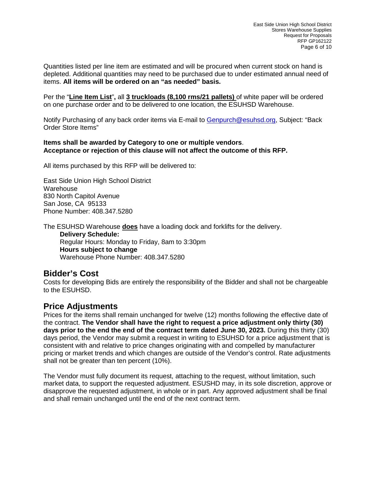Quantities listed per line item are estimated and will be procured when current stock on hand is depleted. Additional quantities may need to be purchased due to under estimated annual need of items. **All items will be ordered on an "as needed" basis.**

Per the "**Line Item List**"**,** all **3 truckloads (8,100 rms/21 pallets)** of white paper will be ordered on one purchase order and to be delivered to one location, the ESUHSD Warehouse.

Notify Purchasing of any back order items via E-mail to [Genpurch@esuhsd.org,](mailto:Genpurch@esuhsd.org) Subject: "Back Order Store Items"

#### **Items shall be awarded by Category to one or multiple vendors**. **Acceptance or rejection of this clause will not affect the outcome of this RFP.**

All items purchased by this RFP will be delivered to:

East Side Union High School District **Warehouse** 830 North Capitol Avenue San Jose, CA 95133 Phone Number: 408.347.5280

The ESUHSD Warehouse **does** have a loading dock and forklifts for the delivery.

**Delivery Schedule:** Regular Hours: Monday to Friday, 8am to 3:30pm **Hours subject to change** Warehouse Phone Number: 408.347.5280

#### <span id="page-5-0"></span>**Bidder's Cost**

Costs for developing Bids are entirely the responsibility of the Bidder and shall not be chargeable to the ESUHSD.

#### <span id="page-5-1"></span>**Price Adjustments**

Prices for the items shall remain unchanged for twelve (12) months following the effective date of the contract. **The Vendor shall have the right to request a price adjustment only thirty (30) days prior to the end the end of the contract term dated June 30, 2023.** During this thirty (30) days period, the Vendor may submit a request in writing to ESUHSD for a price adjustment that is consistent with and relative to price changes originating with and compelled by manufacturer pricing or market trends and which changes are outside of the Vendor's control. Rate adjustments shall not be greater than ten percent (10%).

The Vendor must fully document its request, attaching to the request, without limitation, such market data, to support the requested adjustment. ESUSHD may, in its sole discretion, approve or disapprove the requested adjustment, in whole or in part. Any approved adjustment shall be final and shall remain unchanged until the end of the next contract term.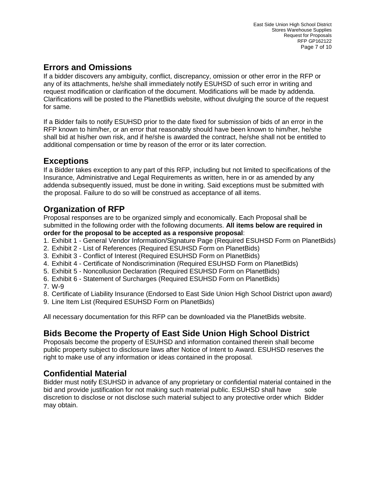# <span id="page-6-0"></span>**Errors and Omissions**

If a bidder discovers any ambiguity, conflict, discrepancy, omission or other error in the RFP or any of its attachments, he/she shall immediately notify ESUHSD of such error in writing and request modification or clarification of the document. Modifications will be made by addenda. Clarifications will be posted to the PlanetBids website, without divulging the source of the request for same.

If a Bidder fails to notify ESUHSD prior to the date fixed for submission of bids of an error in the RFP known to him/her, or an error that reasonably should have been known to him/her, he/she shall bid at his/her own risk, and if he/she is awarded the contract, he/she shall not be entitled to additional compensation or time by reason of the error or its later correction.

#### <span id="page-6-1"></span>**Exceptions**

If a Bidder takes exception to any part of this RFP, including but not limited to specifications of the Insurance, Administrative and Legal Requirements as written, here in or as amended by any addenda subsequently issued, must be done in writing. Said exceptions must be submitted with the proposal. Failure to do so will be construed as acceptance of all items.

# <span id="page-6-2"></span>**Organization of RFP**

Proposal responses are to be organized simply and economically. Each Proposal shall be submitted in the following order with the following documents. **All items below are required in order for the proposal to be accepted as a responsive proposal**:

- 1. Exhibit 1 General Vendor Information/Signature Page (Required ESUHSD Form on PlanetBids)
- 2. Exhibit 2 List of References (Required ESUHSD Form on PlanetBids)
- 3. Exhibit 3 Conflict of Interest (Required ESUHSD Form on PlanetBids)
- 4. Exhibit 4 Certificate of Nondiscrimination (Required ESUHSD Form on PlanetBids)
- 5. Exhibit 5 Noncollusion Declaration (Required ESUHSD Form on PlanetBids)
- 6. Exhibit 6 Statement of Surcharges (Required ESUHSD Form on PlanetBids)
- 7. W-9
- 8. Certificate of Liability Insurance (Endorsed to East Side Union High School District upon award)
- 9. Line Item List (Required ESUHSD Form on PlanetBids)

All necessary documentation for this RFP can be downloaded via the PlanetBids website.

# <span id="page-6-3"></span>**Bids Become the Property of East Side Union High School District**

Proposals become the property of ESUHSD and information contained therein shall become public property subject to disclosure laws after Notice of Intent to Award. ESUHSD reserves the right to make use of any information or ideas contained in the proposal.

## <span id="page-6-4"></span>**Confidential Material**

Bidder must notify ESUHSD in advance of any proprietary or confidential material contained in the bid and provide justification for not making such material public. ESUHSD shall have sole discretion to disclose or not disclose such material subject to any protective order which Bidder may obtain.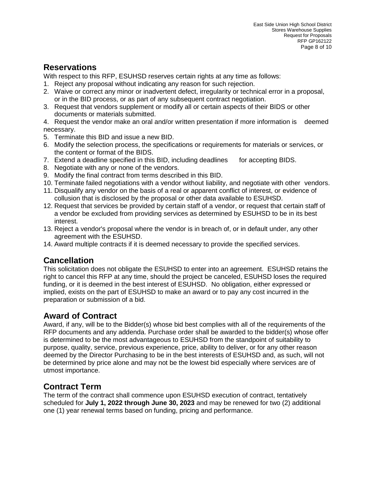## <span id="page-7-0"></span>**Reservations**

With respect to this RFP, ESUHSD reserves certain rights at any time as follows:

- 1. Reject any proposal without indicating any reason for such rejection.
- 2. Waive or correct any minor or inadvertent defect, irregularity or technical error in a proposal, or in the BID process, or as part of any subsequent contract negotiation.
- 3. Request that vendors supplement or modify all or certain aspects of their BIDS or other documents or materials submitted.

4. Request the vendor make an oral and/or written presentation if more information is deemed necessary.

- 5. Terminate this BID and issue a new BID.
- 6. Modify the selection process, the specifications or requirements for materials or services, or the content or format of the BIDS.
- 7. Extend a deadline specified in this BID, including deadlines for accepting BIDS.
- 8. Negotiate with any or none of the vendors.
- 9. Modify the final contract from terms described in this BID.
- 10. Terminate failed negotiations with a vendor without liability, and negotiate with other vendors.
- 11. Disqualify any vendor on the basis of a real or apparent conflict of interest, or evidence of collusion that is disclosed by the proposal or other data available to ESUHSD.
- 12. Request that services be provided by certain staff of a vendor, or request that certain staff of a vendor be excluded from providing services as determined by ESUHSD to be in its best interest.
- 13. Reject a vendor's proposal where the vendor is in breach of, or in default under, any other agreement with the ESUHSD.
- 14. Award multiple contracts if it is deemed necessary to provide the specified services.

#### <span id="page-7-1"></span>**Cancellation**

This solicitation does not obligate the ESUHSD to enter into an agreement. ESUHSD retains the right to cancel this RFP at any time, should the project be canceled, ESUHSD loses the required funding, or it is deemed in the best interest of ESUHSD. No obligation, either expressed or implied, exists on the part of ESUHSD to make an award or to pay any cost incurred in the preparation or submission of a bid.

# <span id="page-7-2"></span>**Award of Contract**

Award, if any, will be to the Bidder(s) whose bid best complies with all of the requirements of the RFP documents and any addenda. Purchase order shall be awarded to the bidder(s) whose offer is determined to be the most advantageous to ESUHSD from the standpoint of suitability to purpose, quality, service, previous experience, price, ability to deliver, or for any other reason deemed by the Director Purchasing to be in the best interests of ESUHSD and, as such, will not be determined by price alone and may not be the lowest bid especially where services are of utmost importance.

#### <span id="page-7-3"></span>**Contract Term**

The term of the contract shall commence upon ESUHSD execution of contract, tentatively scheduled for **July 1, 2022 through June 30, 2023** and may be renewed for two (2) additional one (1) year renewal terms based on funding, pricing and performance.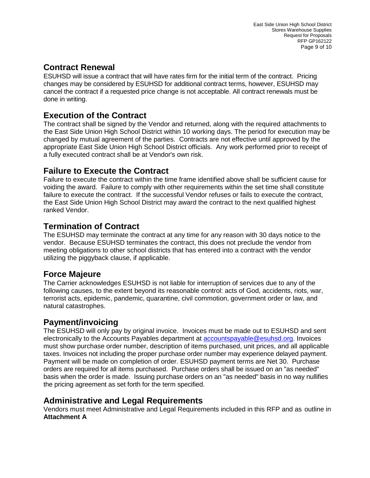## <span id="page-8-0"></span>**Contract Renewal**

ESUHSD will issue a contract that will have rates firm for the initial term of the contract. Pricing changes may be considered by ESUHSD for additional contract terms, however, ESUHSD may cancel the contract if a requested price change is not acceptable. All contract renewals must be done in writing.

# <span id="page-8-1"></span>**Execution of the Contract**

The contract shall be signed by the Vendor and returned, along with the required attachments to the East Side Union High School District within 10 working days. The period for execution may be changed by mutual agreement of the parties. Contracts are not effective until approved by the appropriate East Side Union High School District officials. Any work performed prior to receipt of a fully executed contract shall be at Vendor's own risk.

## <span id="page-8-2"></span>**Failure to Execute the Contract**

Failure to execute the contract within the time frame identified above shall be sufficient cause for voiding the award. Failure to comply with other requirements within the set time shall constitute failure to execute the contract. If the successful Vendor refuses or fails to execute the contract, the East Side Union High School District may award the contract to the next qualified highest ranked Vendor.

## <span id="page-8-3"></span>**Termination of Contract**

The ESUHSD may terminate the contract at any time for any reason with 30 days notice to the vendor. Because ESUHSD terminates the contract, this does not preclude the vendor from meeting obligations to other school districts that has entered into a contract with the vendor utilizing the piggyback clause, if applicable.

## <span id="page-8-4"></span>**Force Majeure**

The Carrier acknowledges ESUHSD is not liable for interruption of services due to any of the following causes, to the extent beyond its reasonable control: acts of God, accidents, riots, war, terrorist acts, epidemic, pandemic, quarantine, civil commotion, government order or law, and natural catastrophes.

#### <span id="page-8-5"></span>**Payment/invoicing**

The ESUHSD will only pay by original invoice. Invoices must be made out to ESUHSD and sent electronically to the Accounts Payables department at **accountspayable@esuhsd.org.** Invoices must show purchase order number, description of items purchased, unit prices, and all applicable taxes. Invoices not including the proper purchase order number may experience delayed payment. Payment will be made on completion of order. ESUHSD payment terms are Net 30. Purchase orders are required for all items purchased. Purchase orders shall be issued on an "as needed" basis when the order is made. Issuing purchase orders on an "as needed" basis in no way nullifies the pricing agreement as set forth for the term specified.

#### <span id="page-8-6"></span>**Administrative and Legal Requirements**

Vendors must meet Administrative and Legal Requirements included in this RFP and as outline in **Attachment A**